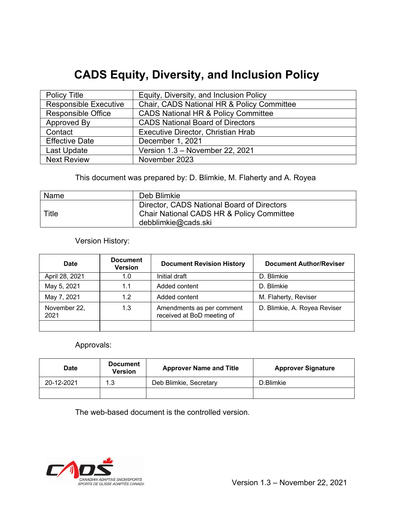# **CADS Equity, Diversity, and Inclusion Policy**

| <b>Policy Title</b>          | Equity, Diversity, and Inclusion Policy        |
|------------------------------|------------------------------------------------|
| <b>Responsible Executive</b> | Chair, CADS National HR & Policy Committee     |
| <b>Responsible Office</b>    | <b>CADS National HR &amp; Policy Committee</b> |
| Approved By                  | <b>CADS National Board of Directors</b>        |
| Contact                      | Executive Director, Christian Hrab             |
| <b>Effective Date</b>        | December 1, 2021                               |
| Last Update                  | Version 1.3 - November 22, 2021                |
| <b>Next Review</b>           | November 2023                                  |

This document was prepared by: D. Blimkie, M. Flaherty and A. Royea

| Name  | Deb Blimkie                                                                                                    |
|-------|----------------------------------------------------------------------------------------------------------------|
| Title | Director, CADS National Board of Directors<br>Chair National CADS HR & Policy Committee<br>debblimkie@cads.ski |

Version History:

| <b>Date</b>          | <b>Document</b><br><b>Version</b> | <b>Document Revision History</b>                        | <b>Document Author/Reviser</b> |
|----------------------|-----------------------------------|---------------------------------------------------------|--------------------------------|
| April 28, 2021       | 1.0                               | Initial draft                                           | D. Blimkie                     |
| May 5, 2021          | 1.1                               | Added content                                           | D. Blimkie                     |
| May 7, 2021          | 1.2                               | Added content                                           | M. Flaherty, Reviser           |
| November 22,<br>2021 | 1.3                               | Amendments as per comment<br>received at BoD meeting of | D. Blimkie, A. Royea Reviser   |
|                      |                                   |                                                         |                                |

# Approvals:

| Date       | <b>Document</b><br><b>Version</b> | <b>Approver Name and Title</b> | <b>Approver Signature</b> |
|------------|-----------------------------------|--------------------------------|---------------------------|
| 20-12-2021 | 1.3                               | Deb Blimkie, Secretary         | D.Blimkie                 |
|            |                                   |                                |                           |

The web-based document is the controlled version.

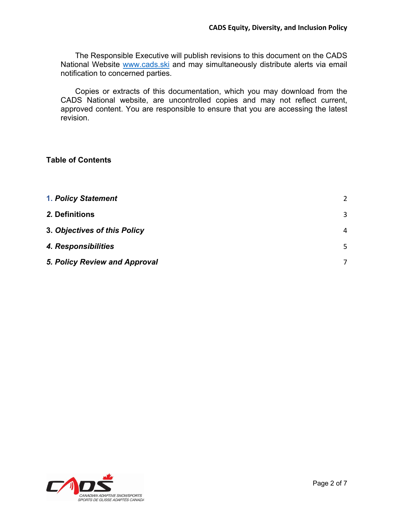The Responsible Executive will publish revisions to this document on the CADS National Website www.cads.ski and may simultaneously distribute alerts via email notification to concerned parties.

Copies or extracts of this documentation, which you may download from the CADS National website, are uncontrolled copies and may not reflect current, approved content. You are responsible to ensure that you are accessing the latest revision.

## **Table of Contents**

| <b>1. Policy Statement</b>    | 2 |
|-------------------------------|---|
| 2. Definitions                | 3 |
| 3. Objectives of this Policy  | 4 |
| 4. Responsibilities           | 5 |
| 5. Policy Review and Approval | 7 |

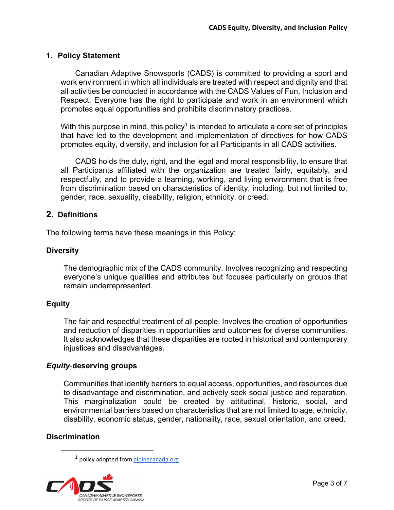## **1. Policy Statement**

Canadian Adaptive Snowsports (CADS) is committed to providing a sport and work environment in which all individuals are treated with respect and dignity and that all activities be conducted in accordance with the CADS Values of Fun, Inclusion and Respect. Everyone has the right to participate and work in an environment which promotes equal opportunities and prohibits discriminatory practices.

With this purpose in mind, this policy<sup>1</sup> is intended to articulate a core set of principles that have led to the development and implementation of directives for how CADS promotes equity, diversity, and inclusion for all Participants in all CADS activities.

CADS holds the duty, right, and the legal and moral responsibility, to ensure that all Participants affiliated with the organization are treated fairly, equitably, and respectfully, and to provide a learning, working, and living environment that is free from discrimination based on characteristics of identity, including, but not limited to, gender, race, sexuality, disability, religion, ethnicity, or creed.

## **2. Definitions**

The following terms have these meanings in this Policy:

## **Diversity**

The demographic mix of the CADS community. Involves recognizing and respecting everyone's unique qualities and attributes but focuses particularly on groups that remain underrepresented.

## **Equity**

The fair and respectful treatment of all people. Involves the creation of opportunities and reduction of disparities in opportunities and outcomes for diverse communities. It also acknowledges that these disparities are rooted in historical and contemporary injustices and disadvantages.

## *Equity*-**deserving groups**

Communities that identify barriers to equal access, opportunities, and resources due to disadvantage and discrimination, and actively seek social justice and reparation. This marginalization could be created by attitudinal, historic, social, and environmental barriers based on characteristics that are not limited to age, ethnicity, disability, economic status, gender, nationality, race, sexual orientation, and creed.

## **Discrimination**

<sup>&</sup>lt;sup>1</sup> policy adopted from alpinecanada.org

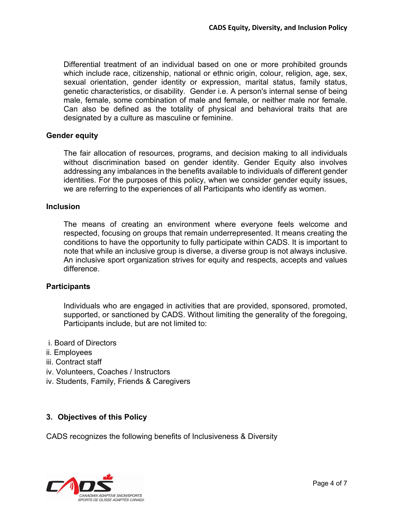Differential treatment of an individual based on one or more prohibited grounds which include race, citizenship, national or ethnic origin, colour, religion, age, sex, sexual orientation, gender identity or expression, marital status, family status, genetic characteristics, or disability. Gender i.e. A person's internal sense of being male, female, some combination of male and female, or neither male nor female. Can also be defined as the totality of physical and behavioral traits that are designated by a culture as masculine or feminine.

## **Gender equity**

The fair allocation of resources, programs, and decision making to all individuals without discrimination based on gender identity. Gender Equity also involves addressing any imbalances in the benefits available to individuals of different gender identities. For the purposes of this policy, when we consider gender equity issues, we are referring to the experiences of all Participants who identify as women.

#### **Inclusion**

The means of creating an environment where everyone feels welcome and respected, focusing on groups that remain underrepresented. It means creating the conditions to have the opportunity to fully participate within CADS. It is important to note that while an inclusive group is diverse, a diverse group is not always inclusive. An inclusive sport organization strives for equity and respects, accepts and values difference.

#### **Participants**

Individuals who are engaged in activities that are provided, sponsored, promoted, supported, or sanctioned by CADS. Without limiting the generality of the foregoing, Participants include, but are not limited to:

- i. Board of Directors
- ii. Employees
- iii. Contract staff
- iv. Volunteers, Coaches / Instructors
- iv. Students, Family, Friends & Caregivers

## **3. Objectives of this Policy**

CADS recognizes the following benefits of Inclusiveness & Diversity

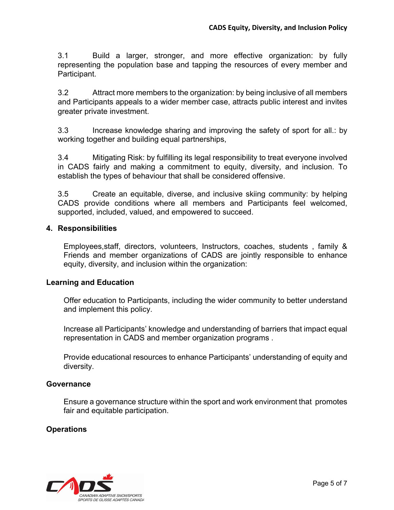3.1 Build a larger, stronger, and more effective organization: by fully representing the population base and tapping the resources of every member and Participant.

3.2 Attract more members to the organization: by being inclusive of all members and Participants appeals to a wider member case, attracts public interest and invites greater private investment.

3.3 Increase knowledge sharing and improving the safety of sport for all.: by working together and building equal partnerships,

3.4 Mitigating Risk: by fulfilling its legal responsibility to treat everyone involved in CADS fairly and making a commitment to equity, diversity, and inclusion. To establish the types of behaviour that shall be considered offensive.

3.5 Create an equitable, diverse, and inclusive skiing community: by helping CADS provide conditions where all members and Participants feel welcomed, supported, included, valued, and empowered to succeed.

## **4. Responsibilities**

Employees,staff, directors, volunteers, Instructors, coaches, students , family & Friends and member organizations of CADS are jointly responsible to enhance equity, diversity, and inclusion within the organization:

#### **Learning and Education**

Offer education to Participants, including the wider community to better understand and implement this policy.

Increase all Participants' knowledge and understanding of barriers that impact equal representation in CADS and member organization programs .

Provide educational resources to enhance Participants' understanding of equity and diversity.

#### **Governance**

Ensure a governance structure within the sport and work environment that promotes fair and equitable participation.

## **Operations**

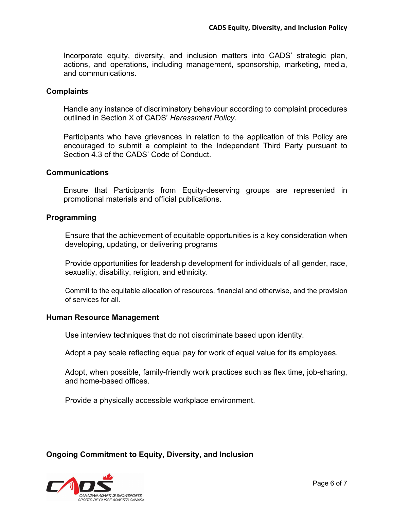Incorporate equity, diversity, and inclusion matters into CADS' strategic plan, actions, and operations, including management, sponsorship, marketing, media, and communications.

#### **Complaints**

Handle any instance of discriminatory behaviour according to complaint procedures outlined in Section X of CADS' *Harassment Policy.*

Participants who have grievances in relation to the application of this Policy are encouraged to submit a complaint to the Independent Third Party pursuant to Section 4.3 of the CADS' Code of Conduct.

#### **Communications**

Ensure that Participants from Equity-deserving groups are represented in promotional materials and official publications.

#### **Programming**

Ensure that the achievement of equitable opportunities is a key consideration when developing, updating, or delivering programs

Provide opportunities for leadership development for individuals of all gender, race, sexuality, disability, religion, and ethnicity.

Commit to the equitable allocation of resources, financial and otherwise, and the provision of services for all.

#### **Human Resource Management**

Use interview techniques that do not discriminate based upon identity.

Adopt a pay scale reflecting equal pay for work of equal value for its employees.

Adopt, when possible, family-friendly work practices such as flex time, job-sharing, and home-based offices.

Provide a physically accessible workplace environment.

## **Ongoing Commitment to Equity, Diversity, and Inclusion**